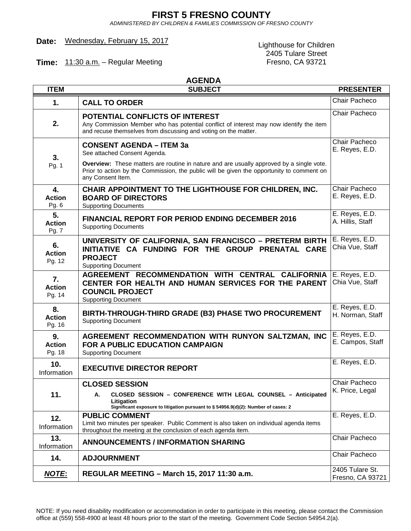### **FIRST 5 FRESNO COUNTY**

*ADMINISTERED BY CHILDREN & FAMILIES COMMISSION OF FRESNO COUNTY*

# Date: Wednesday, February 15, 2017<br>
Lighthouse for Children

**Time:** 11:30 a.m. - Regular Meeting

# 2405 Tulare Street<br>Fresno, CA 93721

#### **AGENDA**

| <b>ITEM</b>                   | <b>SUBJECT</b>                                                                                                                                                                                                    | <b>PRESENTER</b>                    |
|-------------------------------|-------------------------------------------------------------------------------------------------------------------------------------------------------------------------------------------------------------------|-------------------------------------|
| 1.                            | <b>CALL TO ORDER</b>                                                                                                                                                                                              | Chair Pacheco                       |
| 2.                            | POTENTIAL CONFLICTS OF INTEREST<br>Any Commission Member who has potential conflict of interest may now identify the item<br>and recuse themselves from discussing and voting on the matter.                      | Chair Pacheco                       |
| 3.<br>Pg. 1                   | <b>CONSENT AGENDA - ITEM 3a</b><br>See attached Consent Agenda.                                                                                                                                                   | Chair Pacheco<br>E. Reyes, E.D.     |
|                               | <b>Overview:</b> These matters are routine in nature and are usually approved by a single vote.<br>Prior to action by the Commission, the public will be given the opportunity to comment on<br>any Consent Item. |                                     |
| 4.<br><b>Action</b><br>Pg. 6  | CHAIR APPOINTMENT TO THE LIGHTHOUSE FOR CHILDREN, INC.<br><b>BOARD OF DIRECTORS</b><br><b>Supporting Documents</b>                                                                                                | Chair Pacheco<br>E. Reyes, E.D.     |
| 5.<br><b>Action</b><br>Pg. 7  | <b>FINANCIAL REPORT FOR PERIOD ENDING DECEMBER 2016</b><br><b>Supporting Documents</b>                                                                                                                            | E. Reyes, E.D.<br>A. Hillis, Staff  |
| 6.<br><b>Action</b><br>Pg. 12 | UNIVERSITY OF CALIFORNIA, SAN FRANCISCO - PRETERM BIRTH<br>INITIATIVE CA FUNDING FOR THE GROUP PRENATAL CARE<br><b>PROJECT</b><br><b>Supporting Document</b>                                                      | E. Reyes, E.D.<br>Chia Vue, Staff   |
| 7.<br><b>Action</b><br>Pg. 14 | AGREEMENT RECOMMENDATION WITH CENTRAL CALIFORNIA<br>CENTER FOR HEALTH AND HUMAN SERVICES FOR THE PARENT<br><b>COUNCIL PROJECT</b><br><b>Supporting Document</b>                                                   | E. Reyes, E.D.<br>Chia Vue, Staff   |
| 8.<br><b>Action</b><br>Pg. 16 | BIRTH-THROUGH-THIRD GRADE (B3) PHASE TWO PROCUREMENT<br><b>Supporting Document</b>                                                                                                                                | E. Reyes, E.D.<br>H. Norman, Staff  |
| 9.<br><b>Action</b><br>Pg. 18 | AGREEMENT RECOMMENDATION WITH RUNYON SALTZMAN, INC<br>FOR A PUBLIC EDUCATION CAMPAIGN<br><b>Supporting Document</b>                                                                                               | E. Reyes, E.D.<br>E. Campos, Staff  |
| 10.<br>Information            | <b>EXECUTIVE DIRECTOR REPORT</b>                                                                                                                                                                                  | E. Reyes, E.D.                      |
|                               | <b>CLOSED SESSION</b>                                                                                                                                                                                             | Chair Pacheco<br>K. Price, Legal    |
| 11.                           | CLOSED SESSION - CONFERENCE WITH LEGAL COUNSEL - Anticipated<br>А.<br>Litigation<br>Significant exposure to litigation pursuant to § 54956.9(d)(2): Number of cases: 2                                            |                                     |
| 12.<br>Information            | <b>PUBLIC COMMENT</b><br>Limit two minutes per speaker. Public Comment is also taken on individual agenda items<br>throughout the meeting at the conclusion of each agenda item.                                  | E. Reyes, E.D.                      |
| 13.<br>Information            | <b>ANNOUNCEMENTS / INFORMATION SHARING</b>                                                                                                                                                                        | Chair Pacheco                       |
| 14.                           | <b>ADJOURNMENT</b>                                                                                                                                                                                                | Chair Pacheco                       |
| <u>NOTE:</u>                  | REGULAR MEETING - March 15, 2017 11:30 a.m.                                                                                                                                                                       | 2405 Tulare St.<br>Fresno, CA 93721 |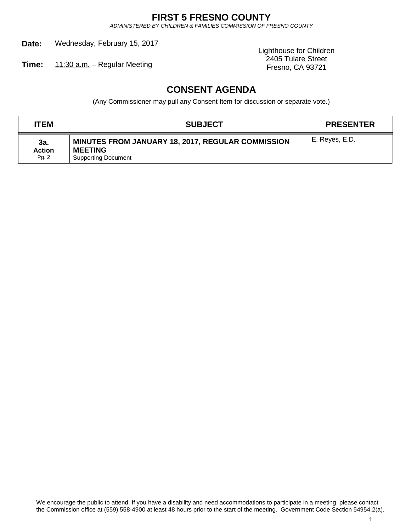## **FIRST 5 FRESNO COUNTY**

*ADMINISTERED BY CHILDREN & FAMILIES COMMISSION OF FRESNO COUNTY*

**Date:** Wednesday, February 15, 2017

Lighthouse for Children 2405 Tulare Street

Fresno, CA 93721 **Time:** 11:30 a.m. – Regular Meeting

# **CONSENT AGENDA**

(Any Commissioner may pull any Consent Item for discussion or separate vote.)

| <b>ITEM</b>                   | <b>SUBJECT</b>                                                                                           | <b>PRESENTER</b> |
|-------------------------------|----------------------------------------------------------------------------------------------------------|------------------|
| 3a.<br><b>Action</b><br>Pg. 2 | <b>MINUTES FROM JANUARY 18, 2017, REGULAR COMMISSION</b><br><b>MEETING</b><br><b>Supporting Document</b> | E. Reyes, E.D.   |

We encourage the public to attend. If you have a disability and need accommodations to participate in a meeting, please contact the Commission office at (559) 558-4900 at least 48 hours prior to the start of the meeting. Government Code Section 54954.2(a).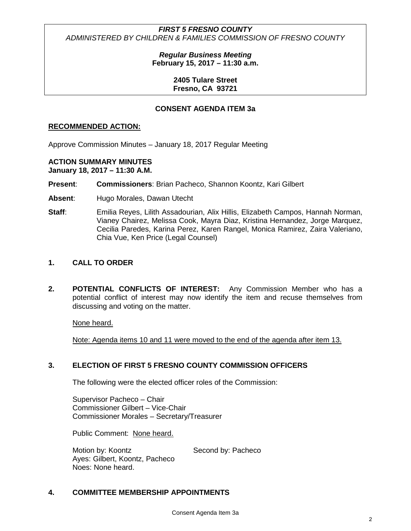> *Regular Business Meeting* **February 15, 2017 – 11:30 a.m.**

> > **2405 Tulare Street Fresno, CA 93721**

#### **CONSENT AGENDA ITEM 3a**

#### **RECOMMENDED ACTION:**

Approve Commission Minutes – January 18, 2017 Regular Meeting

#### **ACTION SUMMARY MINUTES**

**January 18, 2017 – 11:30 A.M.**

- **Present**: **Commissioners**: Brian Pacheco, Shannon Koontz, Kari Gilbert
- **Absent**: Hugo Morales, Dawan Utecht
- **Staff:** Emilia Reyes, Lilith Assadourian, Alix Hillis, Elizabeth Campos, Hannah Norman, Vianey Chairez, Melissa Cook, Mayra Diaz, Kristina Hernandez, Jorge Marquez, Cecilia Paredes, Karina Perez, Karen Rangel, Monica Ramirez, Zaira Valeriano, Chia Vue, Ken Price (Legal Counsel)

#### **1. CALL TO ORDER**

**2. POTENTIAL CONFLICTS OF INTEREST:** Any Commission Member who has a potential conflict of interest may now identify the item and recuse themselves from discussing and voting on the matter.

None heard.

Note: Agenda items 10 and 11 were moved to the end of the agenda after item 13.

#### **3. ELECTION OF FIRST 5 FRESNO COUNTY COMMISSION OFFICERS**

The following were the elected officer roles of the Commission:

Supervisor Pacheco – Chair Commissioner Gilbert – Vice-Chair Commissioner Morales – Secretary/Treasurer

Public Comment: None heard.

Motion by: Koontz Second by: Pacheco Ayes: Gilbert, Koontz, Pacheco Noes: None heard.

#### **4. COMMITTEE MEMBERSHIP APPOINTMENTS**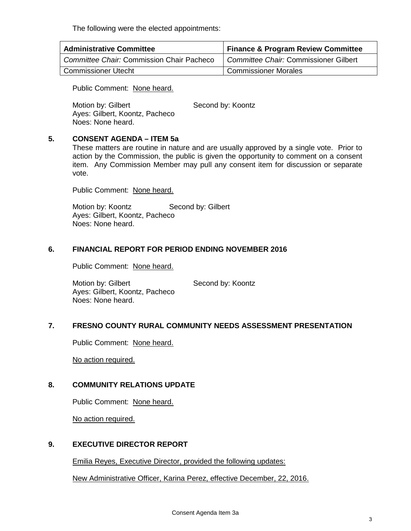The following were the elected appointments:

| <b>Administrative Committee</b>                  | <b>Finance &amp; Program Review Committee</b> |  |  |
|--------------------------------------------------|-----------------------------------------------|--|--|
| <b>Committee Chair: Commission Chair Pacheco</b> | Committee Chair: Commissioner Gilbert         |  |  |
| <b>Commissioner Utecht</b>                       | <b>Commissioner Morales</b>                   |  |  |

Public Comment: None heard.

Motion by: Gilbert Second by: Koontz Ayes: Gilbert, Koontz, Pacheco Noes: None heard.

#### **5. CONSENT AGENDA – ITEM 5a**

These matters are routine in nature and are usually approved by a single vote. Prior to action by the Commission, the public is given the opportunity to comment on a consent item. Any Commission Member may pull any consent item for discussion or separate vote.

Public Comment: None heard.

Motion by: Koontz Second by: Gilbert Ayes: Gilbert, Koontz, Pacheco Noes: None heard.

#### **6. FINANCIAL REPORT FOR PERIOD ENDING NOVEMBER 2016**

Public Comment: None heard.

Motion by: Gilbert Second by: Koontz Ayes: Gilbert, Koontz, Pacheco Noes: None heard.

#### **7. FRESNO COUNTY RURAL COMMUNITY NEEDS ASSESSMENT PRESENTATION**

Public Comment: None heard.

No action required.

#### **8. COMMUNITY RELATIONS UPDATE**

Public Comment: None heard.

No action required.

#### **9. EXECUTIVE DIRECTOR REPORT**

Emilia Reyes, Executive Director, provided the following updates:

New Administrative Officer, Karina Perez, effective December, 22, 2016.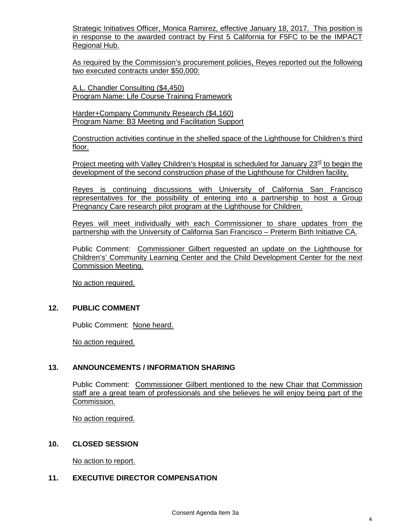Strategic Initiatives Officer, Monica Ramirez, effective January 18, 2017. This position is in response to the awarded contract by First 5 California for F5FC to be the IMPACT Regional Hub.

As required by the Commission's procurement policies, Reyes reported out the following two executed contracts under \$50,000:

A.L. Chandler Consulting (\$4,450) Program Name: Life Course Training Framework

Harder+Company Community Research (\$4,160) Program Name: B3 Meeting and Facilitation Support

Construction activities continue in the shelled space of the Lighthouse for Children's third floor.

Project meeting with Valley Children's Hospital is scheduled for January 23<sup>rd</sup> to begin the development of the second construction phase of the Lighthouse for Children facility.

Reyes is continuing discussions with University of California San Francisco representatives for the possibility of entering into a partnership to host a Group Pregnancy Care research pilot program at the Lighthouse for Children.

Reyes will meet individually with each Commissioner to share updates from the partnership with the University of California San Francisco – Preterm Birth Initiative CA.

Public Comment: Commissioner Gilbert requested an update on the Lighthouse for Children's' Community Learning Center and the Child Development Center for the next Commission Meeting.

No action required.

#### **12. PUBLIC COMMENT**

Public Comment: None heard.

No action required.

#### **13. ANNOUNCEMENTS / INFORMATION SHARING**

Public Comment: Commissioner Gilbert mentioned to the new Chair that Commission staff are a great team of professionals and she believes he will enjoy being part of the Commission.

No action required.

#### **10. CLOSED SESSION**

No action to report.

#### **11. EXECUTIVE DIRECTOR COMPENSATION**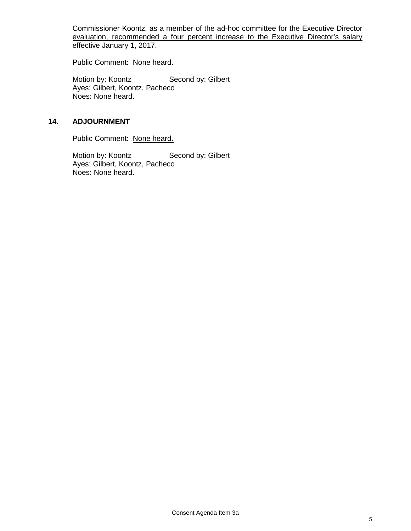Commissioner Koontz, as a member of the ad-hoc committee for the Executive Director evaluation, recommended a four percent increase to the Executive Director's salary effective January 1, 2017.

Public Comment: None heard.

Motion by: Koontz Second by: Gilbert Ayes: Gilbert, Koontz, Pacheco Noes: None heard.

#### **14. ADJOURNMENT**

Public Comment: None heard.

Motion by: Koontz Second by: Gilbert Ayes: Gilbert, Koontz, Pacheco Noes: None heard.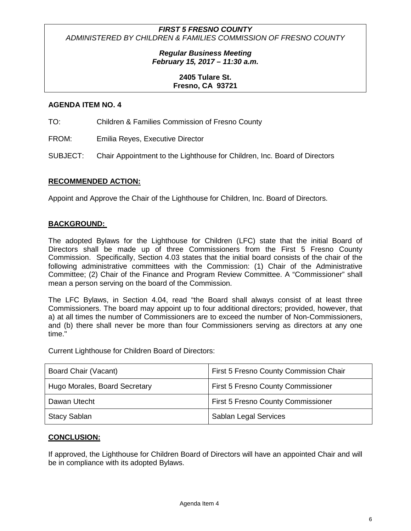> *Regular Business Meeting February 15, 2017 – 11:30 a.m.*

#### **2405 Tulare St. Fresno, CA 93721**

#### **AGENDA ITEM NO. 4**

TO: Children & Families Commission of Fresno County

FROM: Emilia Reyes, Executive Director

SUBJECT: Chair Appointment to the Lighthouse for Children, Inc. Board of Directors

#### **RECOMMENDED ACTION:**

Appoint and Approve the Chair of the Lighthouse for Children, Inc. Board of Directors.

#### **BACKGROUND:**

The adopted Bylaws for the Lighthouse for Children (LFC) state that the initial Board of Directors shall be made up of three Commissioners from the First 5 Fresno County Commission. Specifically, Section 4.03 states that the initial board consists of the chair of the following administrative committees with the Commission: (1) Chair of the Administrative Committee; (2) Chair of the Finance and Program Review Committee. A "Commissioner" shall mean a person serving on the board of the Commission.

The LFC Bylaws, in Section 4.04, read "the Board shall always consist of at least three Commissioners. The board may appoint up to four additional directors; provided, however, that a) at all times the number of Commissioners are to exceed the number of Non-Commissioners, and (b) there shall never be more than four Commissioners serving as directors at any one time."

Current Lighthouse for Children Board of Directors:

| Board Chair (Vacant)          | First 5 Fresno County Commission Chair    |  |  |
|-------------------------------|-------------------------------------------|--|--|
| Hugo Morales, Board Secretary | <b>First 5 Fresno County Commissioner</b> |  |  |
| Dawan Utecht                  | <b>First 5 Fresno County Commissioner</b> |  |  |
| <b>Stacy Sablan</b>           | Sablan Legal Services                     |  |  |

#### **CONCLUSION:**

If approved, the Lighthouse for Children Board of Directors will have an appointed Chair and will be in compliance with its adopted Bylaws.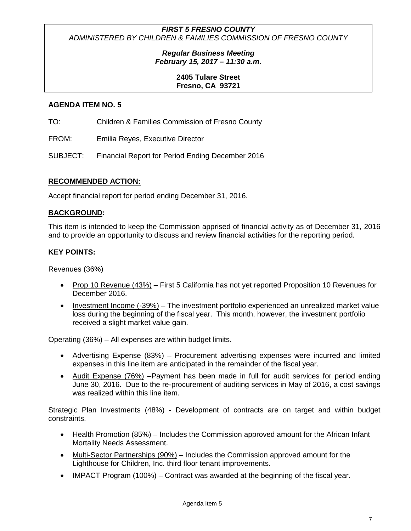#### *Regular Business Meeting February 15, 2017 – 11:30 a.m.*

#### **2405 Tulare Street Fresno, CA 93721**

#### **AGENDA ITEM NO. 5**

TO: Children & Families Commission of Fresno County

FROM: Emilia Reyes, Executive Director

SUBJECT: Financial Report for Period Ending December 2016

#### **RECOMMENDED ACTION:**

Accept financial report for period ending December 31, 2016.

#### **BACKGROUND:**

This item is intended to keep the Commission apprised of financial activity as of December 31, 2016 and to provide an opportunity to discuss and review financial activities for the reporting period.

#### **KEY POINTS:**

Revenues (36%)

- Prop 10 Revenue (43%) First 5 California has not yet reported Proposition 10 Revenues for December 2016.
- Investment Income (-39%) The investment portfolio experienced an unrealized market value loss during the beginning of the fiscal year. This month, however, the investment portfolio received a slight market value gain.

Operating (36%) – All expenses are within budget limits.

- Advertising Expense (83%) Procurement advertising expenses were incurred and limited expenses in this line item are anticipated in the remainder of the fiscal year.
- Audit Expense (76%) Payment has been made in full for audit services for period ending June 30, 2016. Due to the re-procurement of auditing services in May of 2016, a cost savings was realized within this line item.

Strategic Plan Investments (48%) - Development of contracts are on target and within budget constraints.

- Health Promotion (85%) Includes the Commission approved amount for the African Infant Mortality Needs Assessment.
- Multi-Sector Partnerships (90%) Includes the Commission approved amount for the Lighthouse for Children, Inc. third floor tenant improvements.
- IMPACT Program (100%) Contract was awarded at the beginning of the fiscal year.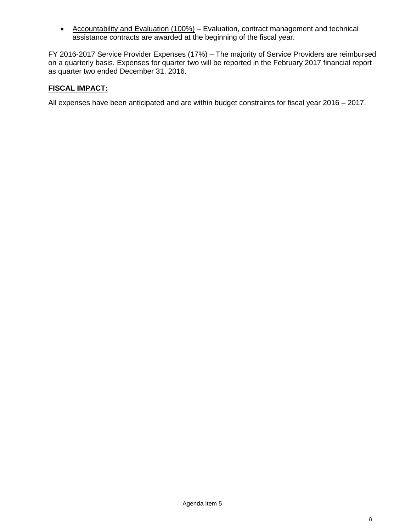• Accountability and Evaluation (100%) – Evaluation, contract management and technical assistance contracts are awarded at the beginning of the fiscal year.

FY 2016-2017 Service Provider Expenses (17%) – The majority of Service Providers are reimbursed on a quarterly basis. Expenses for quarter two will be reported in the February 2017 financial report as quarter two ended December 31, 2016.

#### **FISCAL IMPACT:**

All expenses have been anticipated and are within budget constraints for fiscal year 2016 – 2017.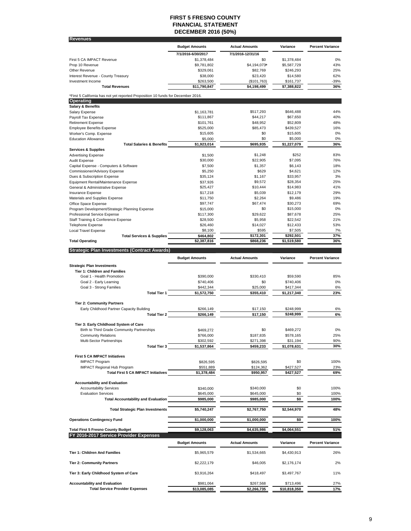#### **FIRST 5 FRESNO COUNTY FINANCIAL STATEMENT DECEMBER 2016 (50%)**

| <b>Revenues</b>                                                                  |                           |                            |                          |                         |
|----------------------------------------------------------------------------------|---------------------------|----------------------------|--------------------------|-------------------------|
|                                                                                  | <b>Budget Amounts</b>     | <b>Actual Amounts</b>      | Variance                 | <b>Percent Variance</b> |
|                                                                                  | 7/1/2016-6/30/2017        | 7/1/2016-12/31/16          |                          |                         |
| First 5 CA IMPACT Revenue                                                        | \$1,378,484               | \$0                        | \$1,378,484              | 0%                      |
| Prop 10 Revenue                                                                  | \$9,781,802               | \$4,194,073*               | \$5,587,729              | 43%                     |
| Other Revenue                                                                    | \$329,061                 | \$82,769                   | \$246,293                | 25%                     |
| Interest Revenue - County Treasury                                               | \$38,000                  | \$23,420                   | \$14,580                 | 62%                     |
| Investment Income<br><b>Total Revenues</b>                                       | \$263,500<br>\$11,790,847 | (\$101,763)<br>\$4,198,499 | \$161,737<br>\$7,388,822 | -39%<br>36%             |
|                                                                                  |                           |                            |                          |                         |
| *First 5 California has not yet reported Proposition 10 funds for December 2016. |                           |                            |                          |                         |
| Operating<br><b>Salary &amp; Benefits</b>                                        |                           |                            |                          |                         |
| Salary Expense                                                                   | \$1,163,781               | \$517,293                  | \$646,488                | 44%                     |
| Payroll Tax Expense                                                              | \$111,867                 | \$44,217                   | \$67,650                 | 40%                     |
| <b>Retirement Expense</b>                                                        | \$101,761                 | \$48,952                   | \$52,809                 | 48%                     |
| <b>Employee Benefits Expense</b>                                                 | \$525,000                 | \$85.473                   | \$439,527                | 16%                     |
| Worker's Comp. Expense<br><b>Education Allowance</b>                             | \$15,605<br>\$5,000       | \$0<br>\$0                 | \$15,605<br>\$5,000      | 0%<br>0%                |
| <b>Total Salaries &amp; Benefits</b>                                             | \$1,923,014               | \$695,935                  | \$1,227,079              | 36%                     |
| <b>Services &amp; Supplies</b>                                                   |                           |                            |                          |                         |
| <b>Advertising Expense</b>                                                       | \$1,500                   | \$1,248                    | \$252                    | 83%                     |
| Audit Expense                                                                    | \$30,000                  | \$22,905                   | \$7,095                  | 76%                     |
| Capital Expense - Computers & Software                                           | \$7,500                   | \$1,357<br>\$629           | \$6,143                  | 18%<br>12%              |
| Commissioner/Advisory Expense<br>Dues & Subscription Expense                     | \$5,250<br>\$35,124       | \$1,167                    | \$4,621<br>\$33,957      | 3%                      |
| Equipment Rental/Maintenance Expense                                             | \$37,926                  | \$9,572                    | \$28,354                 | 25%                     |
| General & Administrative Expense                                                 | \$25,427                  | \$10.444                   | \$14,983                 | 41%                     |
| Insurance Expense                                                                | \$17,218                  | \$5,039                    | \$12,179                 | 29%                     |
| Materials and Supplies Expense                                                   | \$11,750                  | \$2,264                    | \$9,486                  | 19%                     |
| Office Space Expense                                                             | \$97,747                  | \$67.474                   | \$30,273                 | 69%                     |
| Program Development/Strategic Planning Expense<br>Professional Service Expense   | \$15,000<br>\$117,300     | \$0<br>\$29,622            | \$15,000<br>\$87,678     | 0%<br>25%               |
| Staff Training & Conference Expense                                              | \$28,500                  | \$5,958                    | \$22,542                 | 21%                     |
| <b>Telephone Expense</b>                                                         | \$26,460                  | \$14,027                   | \$12,433                 | 53%                     |
| Local Travel Expense                                                             | \$8,100                   | \$595                      | \$7,505                  | 7%                      |
| <b>Total Services &amp; Supplies</b>                                             | \$464,802                 | \$172,301                  | \$292,501                | 37%                     |
| <b>Total Operating</b>                                                           | \$2,387,816               | \$868,236                  | \$1,519,580              | 36%                     |
| <b>Strategic Plan Investments (Contract Awards)</b>                              |                           |                            |                          |                         |
|                                                                                  | <b>Budget Amounts</b>     | <b>Actual Amounts</b>      | Variance                 | <b>Percent Variance</b> |
| <b>Strategic Plan Investments</b>                                                |                           |                            |                          |                         |
| Tier 1: Children and Families                                                    |                           |                            |                          |                         |
| Goal 1 - Health Promotion                                                        | \$390,000                 | \$330,410                  | \$59,590                 | 85%                     |
| Goal 2 - Early Learning                                                          | \$740,406                 | \$0                        | \$740,406                | 0%                      |
| Goal 3 - Strong Families                                                         | \$442,344                 | \$25,000                   | \$417,344                | 6%                      |
| <b>Total Tier 1</b>                                                              | \$1,572,750               | \$355,410                  | \$1,217,340              | 23%                     |
| <b>Tier 2: Community Partners</b>                                                |                           |                            |                          |                         |
| Early Childhood Partner Capacity Building                                        | \$266,149                 | \$17,150                   | \$248,999                | 6%                      |
| <b>Total Tier 2</b>                                                              | \$266,149                 | \$17,150                   | \$248,999                | 6%                      |
|                                                                                  |                           |                            |                          |                         |
| Tier 3: Early Childhood System of Care                                           |                           |                            |                          |                         |
| Birth to Third Grade Community Partnerships<br><b>Community Relations</b>        | \$469.272<br>\$766,000    | \$0<br>\$187,835           | \$469,272<br>\$578,165   | 0%<br>25%               |
| Multi-Sector Partnerships                                                        | \$302,592                 | \$271,398                  | \$31,194                 | 90%                     |
| <b>Total Tier 3</b>                                                              | \$1,537,864               | \$459,233                  | \$1,078,631              | 30%                     |
|                                                                                  |                           |                            |                          |                         |
| First 5 CA IMPACT Initiatives                                                    |                           |                            |                          |                         |
| <b>IMPACT Program</b><br><b>IMPACT Regional Hub Program</b>                      | \$826,595<br>\$551,889    | \$826,595<br>\$124,362     | \$0<br>\$427,527         | 100%<br>23%             |
| <b>Total First 5 CA IMPACT Initiatives</b>                                       | \$1,378,484               | \$950,957                  | \$427,527                | 69%                     |
|                                                                                  |                           |                            |                          |                         |
| <b>Accountability and Evaluation</b>                                             |                           |                            |                          |                         |
| <b>Accountability Services</b>                                                   | \$340,000                 | \$340,000                  | \$0                      | 100%                    |
| <b>Evaluation Services</b>                                                       | \$645,000<br>\$985,000    | \$645,000<br>\$985,000     | \$0<br>\$0               | 100%<br>100%            |
| <b>Total Accountability and Evaluation</b>                                       |                           |                            |                          |                         |
| <b>Total Strategic Plan Investments</b>                                          | \$5,740,247               | \$2,767,750                | \$2,544,970              | 48%                     |
| <b>Operations Contingency Fund</b>                                               | \$1,000,000               | \$1,000,000                | \$0                      | 100%                    |
| <b>Total First 5 Fresno County Budget</b>                                        | \$9,128,063               | \$4,635,986                | \$4,064,551              | 51%                     |
| FY 2016-2017 Service Provider Expenses                                           |                           |                            |                          |                         |
|                                                                                  | <b>Budget Amounts</b>     | <b>Actual Amounts</b>      | Variance                 | <b>Percent Variance</b> |
| Tier 1: Children And Families                                                    | \$5,965,579               | \$1,534,665                | \$4,430,913              | 26%                     |
| <b>Tier 2: Community Partners</b>                                                | \$2,222,179               | \$46,005                   | \$2,176,174              | 2%                      |
| Tier 3: Early Childhood System of Care                                           |                           |                            |                          |                         |
|                                                                                  | \$3,916,264               | \$418,497                  | \$3,497,767              | 11%                     |
| <b>Accountability and Evaluation</b>                                             | \$981,064                 | \$267,568                  | \$713,496                | 27%                     |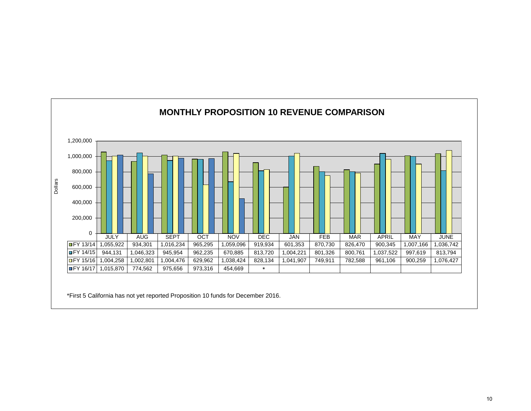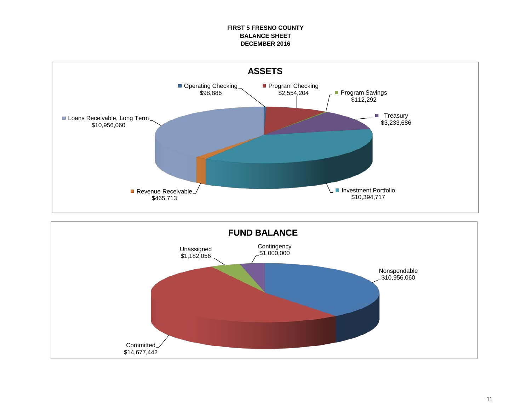#### **FIRST 5 FRESNO COUNTY BALANCE SHEET DECEMBER 2016**



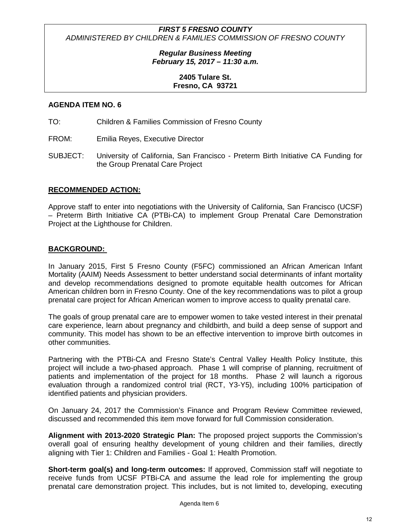> *Regular Business Meeting February 15, 2017 – 11:30 a.m.*

#### **2405 Tulare St. Fresno, CA 93721**

#### **AGENDA ITEM NO. 6**

TO: Children & Families Commission of Fresno County

- FROM: Emilia Reyes, Executive Director
- SUBJECT: University of California, San Francisco Preterm Birth Initiative CA Funding for the Group Prenatal Care Project

#### **RECOMMENDED ACTION:**

Approve staff to enter into negotiations with the University of California, San Francisco (UCSF) – Preterm Birth Initiative CA (PTBi-CA) to implement Group Prenatal Care Demonstration Project at the Lighthouse for Children.

#### **BACKGROUND:**

In January 2015, First 5 Fresno County (F5FC) commissioned an African American Infant Mortality (AAIM) Needs Assessment to better understand social determinants of infant mortality and develop recommendations designed to promote equitable health outcomes for African American children born in Fresno County. One of the key recommendations was to pilot a group prenatal care project for African American women to improve access to quality prenatal care.

The goals of group prenatal care are to empower women to take vested interest in their prenatal care experience, learn about pregnancy and childbirth, and build a deep sense of support and community. This model has shown to be an effective intervention to improve birth outcomes in other communities.

Partnering with the PTBi-CA and Fresno State's Central Valley Health Policy Institute, this project will include a two-phased approach. Phase 1 will comprise of planning, recruitment of patients and implementation of the project for 18 months. Phase 2 will launch a rigorous evaluation through a randomized control trial (RCT, Y3-Y5), including 100% participation of identified patients and physician providers.

On January 24, 2017 the Commission's Finance and Program Review Committee reviewed, discussed and recommended this item move forward for full Commission consideration.

**Alignment with 2013-2020 Strategic Plan:** The proposed project supports the Commission's overall goal of ensuring healthy development of young children and their families, directly aligning with Tier 1: Children and Families - Goal 1: Health Promotion.

**Short-term goal(s) and long-term outcomes:** If approved, Commission staff will negotiate to receive funds from UCSF PTBi-CA and assume the lead role for implementing the group prenatal care demonstration project. This includes, but is not limited to, developing, executing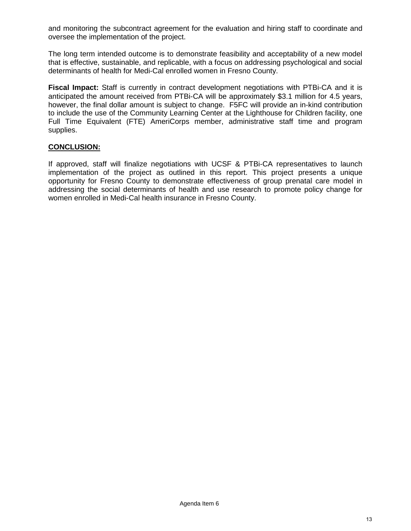and monitoring the subcontract agreement for the evaluation and hiring staff to coordinate and oversee the implementation of the project.

The long term intended outcome is to demonstrate feasibility and acceptability of a new model that is effective, sustainable, and replicable, with a focus on addressing psychological and social determinants of health for Medi-Cal enrolled women in Fresno County.

**Fiscal Impact:** Staff is currently in contract development negotiations with PTBi-CA and it is anticipated the amount received from PTBi-CA will be approximately \$3.1 million for 4.5 years, however, the final dollar amount is subject to change. F5FC will provide an in-kind contribution to include the use of the Community Learning Center at the Lighthouse for Children facility, one Full Time Equivalent (FTE) AmeriCorps member, administrative staff time and program supplies.

#### **CONCLUSION:**

If approved, staff will finalize negotiations with UCSF & PTBi-CA representatives to launch implementation of the project as outlined in this report. This project presents a unique opportunity for Fresno County to demonstrate effectiveness of group prenatal care model in addressing the social determinants of health and use research to promote policy change for women enrolled in Medi-Cal health insurance in Fresno County.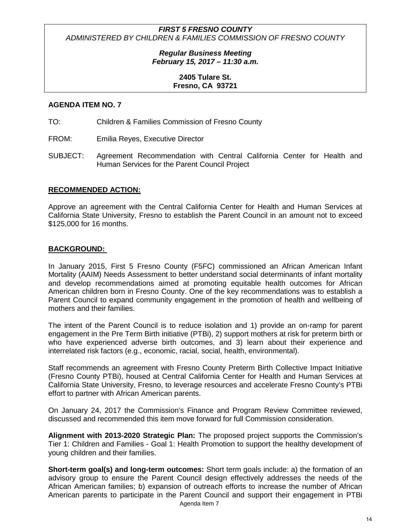> *Regular Business Meeting February 15, 2017 – 11:30 a.m.*

#### **2405 Tulare St. Fresno, CA 93721**

#### **AGENDA ITEM NO. 7**

- TO: Children & Families Commission of Fresno County
- FROM: Emilia Reyes, Executive Director
- SUBJECT: Agreement Recommendation with Central California Center for Health and Human Services for the Parent Council Project

#### **RECOMMENDED ACTION:**

Approve an agreement with the Central California Center for Health and Human Services at California State University, Fresno to establish the Parent Council in an amount not to exceed \$125,000 for 16 months.

#### **BACKGROUND:**

In January 2015, First 5 Fresno County (F5FC) commissioned an African American Infant Mortality (AAIM) Needs Assessment to better understand social determinants of infant mortality and develop recommendations aimed at promoting equitable health outcomes for African American children born in Fresno County. One of the key recommendations was to establish a Parent Council to expand community engagement in the promotion of health and wellbeing of mothers and their families.

The intent of the Parent Council is to reduce isolation and 1) provide an on-ramp for parent engagement in the Pre Term Birth initiative (PTBi), 2) support mothers at risk for preterm birth or who have experienced adverse birth outcomes, and 3) learn about their experience and interrelated risk factors (e.g., economic, racial, social, health, environmental).

Staff recommends an agreement with Fresno County Preterm Birth Collective Impact Initiative (Fresno County PTBi), housed at Central California Center for Health and Human Services at California State University, Fresno, to leverage resources and accelerate Fresno County's PTBi effort to partner with African American parents.

On January 24, 2017 the Commission's Finance and Program Review Committee reviewed, discussed and recommended this item move forward for full Commission consideration.

**Alignment with 2013-2020 Strategic Plan:** The proposed project supports the Commission's Tier 1: Children and Families - Goal 1: Health Promotion to support the healthy development of young children and their families.

Agenda Item 7 **Short-term goal(s) and long-term outcomes:** Short term goals include: a) the formation of an advisory group to ensure the Parent Council design effectively addresses the needs of the African American families; b) expansion of outreach efforts to increase the number of African American parents to participate in the Parent Council and support their engagement in PTBi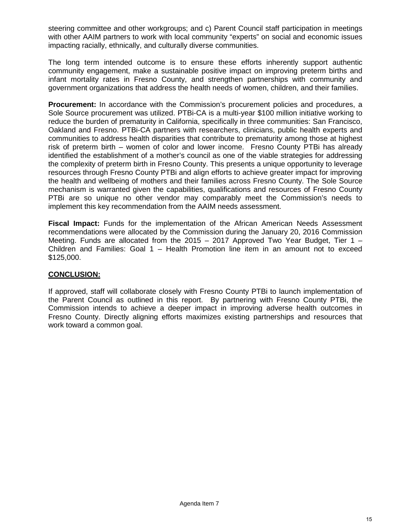steering committee and other workgroups; and c) Parent Council staff participation in meetings with other AAIM partners to work with local community "experts" on social and economic issues impacting racially, ethnically, and culturally diverse communities.

The long term intended outcome is to ensure these efforts inherently support authentic community engagement, make a sustainable positive impact on improving preterm births and infant mortality rates in Fresno County, and strengthen partnerships with community and government organizations that address the health needs of women, children, and their families.

**Procurement:** In accordance with the Commission's procurement policies and procedures, a Sole Source procurement was utilized. PTBi-CA is a multi-year \$100 million initiative working to reduce the burden of prematurity in California, specifically in three communities: San Francisco, Oakland and Fresno. PTBi-CA partners with researchers, clinicians, public health experts and communities to address health disparities that contribute to prematurity among those at highest risk of preterm birth – women of color and lower income. Fresno County PTBi has already identified the establishment of a mother's council as one of the viable strategies for addressing the complexity of preterm birth in Fresno County. This presents a unique opportunity to leverage resources through Fresno County PTBi and align efforts to achieve greater impact for improving the health and wellbeing of mothers and their families across Fresno County. The Sole Source mechanism is warranted given the capabilities, qualifications and resources of Fresno County PTBi are so unique no other vendor may comparably meet the Commission's needs to implement this key recommendation from the AAIM needs assessment.

**Fiscal Impact:** Funds for the implementation of the African American Needs Assessment recommendations were allocated by the Commission during the January 20, 2016 Commission Meeting. Funds are allocated from the 2015 – 2017 Approved Two Year Budget, Tier 1 – Children and Families: Goal 1 – Health Promotion line item in an amount not to exceed \$125,000.

#### **CONCLUSION:**

If approved, staff will collaborate closely with Fresno County PTBi to launch implementation of the Parent Council as outlined in this report. By partnering with Fresno County PTBi, the Commission intends to achieve a deeper impact in improving adverse health outcomes in Fresno County. Directly aligning efforts maximizes existing partnerships and resources that work toward a common goal.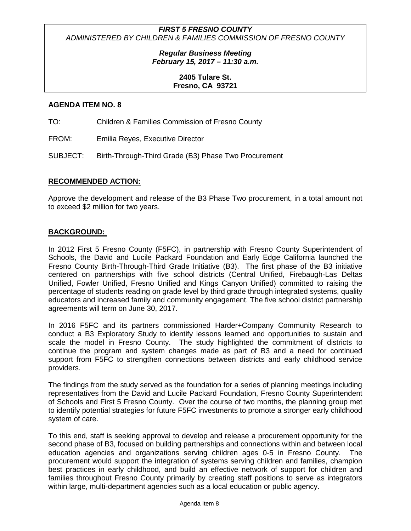> *Regular Business Meeting February 15, 2017 – 11:30 a.m.*

#### **2405 Tulare St. Fresno, CA 93721**

#### **AGENDA ITEM NO. 8**

TO: Children & Families Commission of Fresno County

FROM: Emilia Reyes, Executive Director

SUBJECT: Birth-Through-Third Grade (B3) Phase Two Procurement

#### **RECOMMENDED ACTION:**

Approve the development and release of the B3 Phase Two procurement, in a total amount not to exceed \$2 million for two years.

#### **BACKGROUND:**

In 2012 First 5 Fresno County (F5FC), in partnership with Fresno County Superintendent of Schools, the David and Lucile Packard Foundation and Early Edge California launched the Fresno County Birth-Through-Third Grade Initiative (B3). The first phase of the B3 initiative centered on partnerships with five school districts (Central Unified, Firebaugh-Las Deltas Unified, Fowler Unified, Fresno Unified and Kings Canyon Unified) committed to raising the percentage of students reading on grade level by third grade through integrated systems, quality educators and increased family and community engagement. The five school district partnership agreements will term on June 30, 2017.

In 2016 F5FC and its partners commissioned Harder+Company Community Research to conduct a B3 Exploratory Study to identify lessons learned and opportunities to sustain and scale the model in Fresno County. The study highlighted the commitment of districts to continue the program and system changes made as part of B3 and a need for continued support from F5FC to strengthen connections between districts and early childhood service providers.

The findings from the study served as the foundation for a series of planning meetings including representatives from the David and Lucile Packard Foundation, Fresno County Superintendent of Schools and First 5 Fresno County. Over the course of two months, the planning group met to identify potential strategies for future F5FC investments to promote a stronger early childhood system of care.

To this end, staff is seeking approval to develop and release a procurement opportunity for the second phase of B3, focused on building partnerships and connections within and between local education agencies and organizations serving children ages 0-5 in Fresno County. The procurement would support the integration of systems serving children and families, champion best practices in early childhood, and build an effective network of support for children and families throughout Fresno County primarily by creating staff positions to serve as integrators within large, multi-department agencies such as a local education or public agency.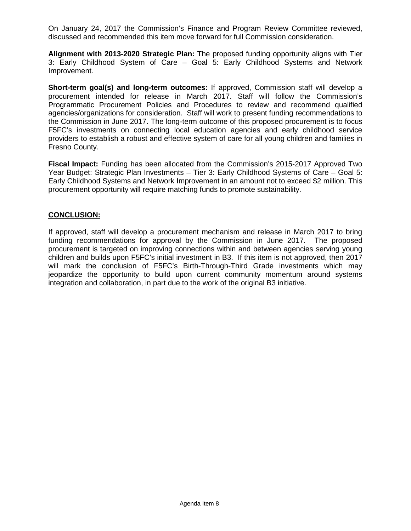On January 24, 2017 the Commission's Finance and Program Review Committee reviewed, discussed and recommended this item move forward for full Commission consideration.

**Alignment with 2013-2020 Strategic Plan:** The proposed funding opportunity aligns with Tier 3: Early Childhood System of Care – Goal 5: Early Childhood Systems and Network Improvement.

**Short-term goal(s) and long-term outcomes:** If approved, Commission staff will develop a procurement intended for release in March 2017. Staff will follow the Commission's Programmatic Procurement Policies and Procedures to review and recommend qualified agencies/organizations for consideration. Staff will work to present funding recommendations to the Commission in June 2017. The long-term outcome of this proposed procurement is to focus F5FC's investments on connecting local education agencies and early childhood service providers to establish a robust and effective system of care for all young children and families in Fresno County.

**Fiscal Impact:** Funding has been allocated from the Commission's 2015-2017 Approved Two Year Budget: Strategic Plan Investments – Tier 3: Early Childhood Systems of Care – Goal 5: Early Childhood Systems and Network Improvement in an amount not to exceed \$2 million. This procurement opportunity will require matching funds to promote sustainability.

#### **CONCLUSION:**

If approved, staff will develop a procurement mechanism and release in March 2017 to bring funding recommendations for approval by the Commission in June 2017. The proposed procurement is targeted on improving connections within and between agencies serving young children and builds upon F5FC's initial investment in B3. If this item is not approved, then 2017 will mark the conclusion of F5FC's Birth-Through-Third Grade investments which may jeopardize the opportunity to build upon current community momentum around systems integration and collaboration, in part due to the work of the original B3 initiative.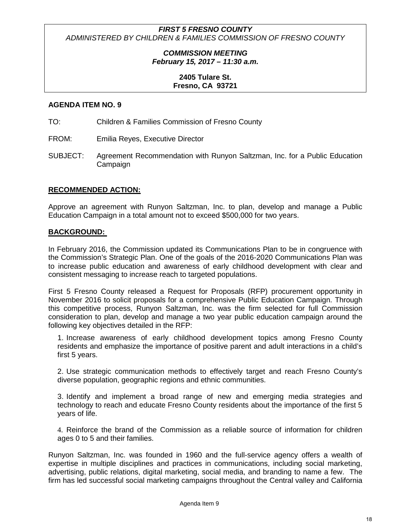> *COMMISSION MEETING February 15, 2017 – 11:30 a.m.*

#### **2405 Tulare St. Fresno, CA 93721**

#### **AGENDA ITEM NO. 9**

TO: Children & Families Commission of Fresno County

FROM: Emilia Reyes, Executive Director

SUBJECT: Agreement Recommendation with Runyon Saltzman, Inc. for a Public Education Campaign

#### **RECOMMENDED ACTION:**

Approve an agreement with Runyon Saltzman, Inc. to plan, develop and manage a Public Education Campaign in a total amount not to exceed \$500,000 for two years.

#### **BACKGROUND:**

In February 2016, the Commission updated its Communications Plan to be in congruence with the Commission's Strategic Plan. One of the goals of the 2016-2020 Communications Plan was to increase public education and awareness of early childhood development with clear and consistent messaging to increase reach to targeted populations.

First 5 Fresno County released a Request for Proposals (RFP) procurement opportunity in November 2016 to solicit proposals for a comprehensive Public Education Campaign. Through this competitive process, Runyon Saltzman, Inc. was the firm selected for full Commission consideration to plan, develop and manage a two year public education campaign around the following key objectives detailed in the RFP:

1. Increase awareness of early childhood development topics among Fresno County residents and emphasize the importance of positive parent and adult interactions in a child's first 5 years.

2. Use strategic communication methods to effectively target and reach Fresno County's diverse population, geographic regions and ethnic communities.

3. Identify and implement a broad range of new and emerging media strategies and technology to reach and educate Fresno County residents about the importance of the first 5 years of life.

4. Reinforce the brand of the Commission as a reliable source of information for children ages 0 to 5 and their families.

Runyon Saltzman, Inc. was founded in 1960 and the full-service agency offers a wealth of expertise in multiple disciplines and practices in communications, including social marketing, advertising, public relations, digital marketing, social media, and branding to name a few. The firm has led successful social marketing campaigns throughout the Central valley and California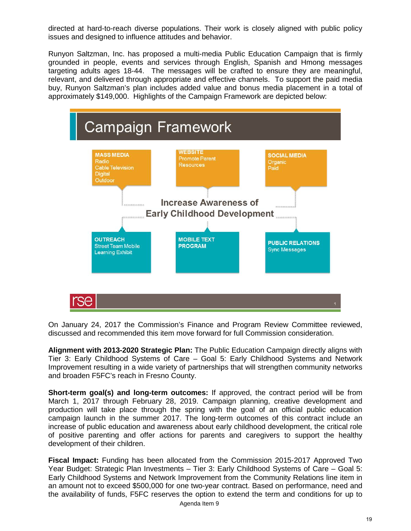directed at hard-to-reach diverse populations. Their work is closely aligned with public policy issues and designed to influence attitudes and behavior.

Runyon Saltzman, Inc. has proposed a multi-media Public Education Campaign that is firmly grounded in people, events and services through English, Spanish and Hmong messages targeting adults ages 18-44. The messages will be crafted to ensure they are meaningful, relevant, and delivered through appropriate and effective channels. To support the paid media buy, Runyon Saltzman's plan includes added value and bonus media placement in a total of approximately \$149,000. Highlights of the Campaign Framework are depicted below:



On January 24, 2017 the Commission's Finance and Program Review Committee reviewed, discussed and recommended this item move forward for full Commission consideration.

**Alignment with 2013-2020 Strategic Plan:** The Public Education Campaign directly aligns with Tier 3: Early Childhood Systems of Care – Goal 5: Early Childhood Systems and Network Improvement resulting in a wide variety of partnerships that will strengthen community networks and broaden F5FC's reach in Fresno County.

**Short-term goal(s) and long-term outcomes:** If approved, the contract period will be from March 1, 2017 through February 28, 2019. Campaign planning, creative development and production will take place through the spring with the goal of an official public education campaign launch in the summer 2017. The long-term outcomes of this contract include an increase of public education and awareness about early childhood development, the critical role of positive parenting and offer actions for parents and caregivers to support the healthy development of their children.

**Fiscal Impact:** Funding has been allocated from the Commission 2015-2017 Approved Two Year Budget: Strategic Plan Investments – Tier 3: Early Childhood Systems of Care – Goal 5: Early Childhood Systems and Network Improvement from the Community Relations line item in an amount not to exceed \$500,000 for one two-year contract. Based on performance, need and the availability of funds, F5FC reserves the option to extend the term and conditions for up to